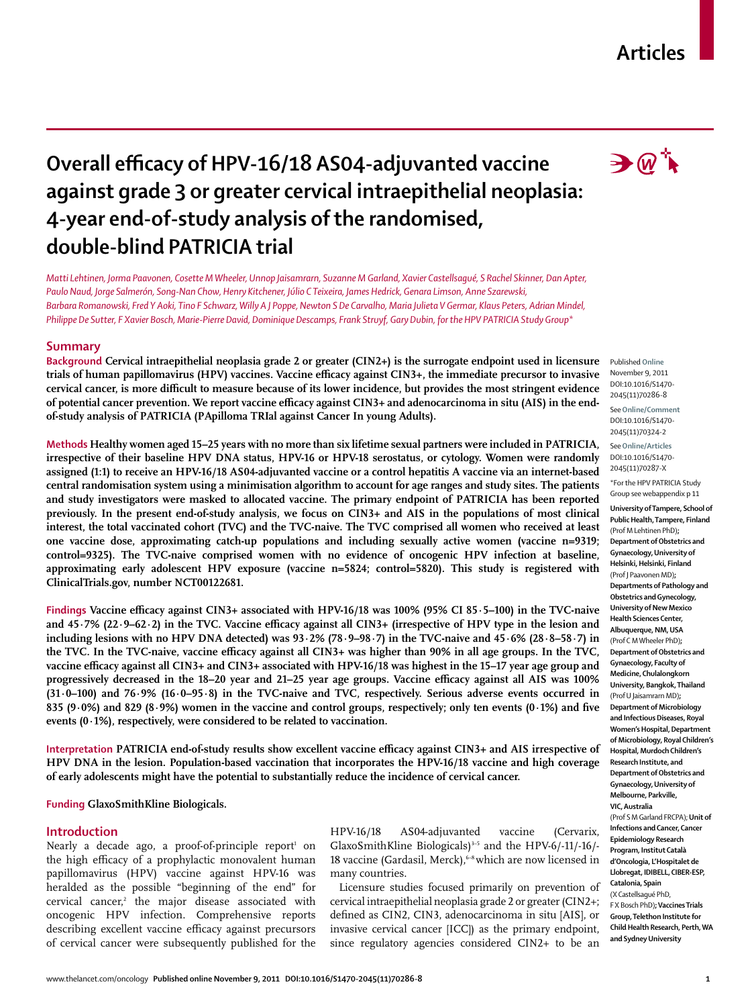# **Articles**

# **Overall efficacy of HPV-16/18 AS04-adjuvanted vaccine against grade 3 or greater cervical intraepithelial neoplasia: 4-year end-of-study analysis of the randomised, double-blind PATRICIA trial**

*Matti Lehtinen, Jorma Paavonen, Cosette M Wheeler, Unnop Jaisamrarn, Suzanne M Garland, Xavier Castellsagué, S Rachel Skinner, Dan Apter, Paulo Naud, Jorge Salmerón, Song-Nan Chow, Henry Kitchener, Júlio C Teixeira, James Hedrick, Genara Limson, Anne Szarewski, Barbara Romanowski, Fred Y Aoki, Tino F Schwarz, Willy A J Poppe, Newton S De Carvalho, Maria Julieta V Germar, Klaus Peters, Adrian Mindel, Philippe De Sutter, F Xavier Bosch, Marie-Pierre David, Dominique Descamps, Frank Struyf, Gary Dubin, for the HPV PATRICIA Study Group\** 

### **Summary**

**Background Cervical intraepithelial neoplasia grade 2 or greater (CIN2+) is the surrogate endpoint used in licensure**  trials of human papillomavirus (HPV) vaccines. Vaccine efficacy against CIN3+, the immediate precursor to invasive cervical cancer, is more difficult to measure because of its lower incidence, but provides the most stringent evidence of potential cancer prevention. We report vaccine efficacy against CIN3+ and adenocarcinoma in situ (AIS) in the end**of-study analysis of PATRICIA (PApilloma TRIal against Cancer In young Adults).**

**Methods Healthy women aged 15–25 years with no more than six lifetime sexual partners were included in PATRICIA, irrespective of their baseline HPV DNA status, HPV-16 or HPV-18 serostatus, or cytology. Women were randomly assigned (1:1) to receive an HPV-16/18 AS04-adjuvanted vaccine or a control hepatitis A vaccine via an internet-based central randomisation system using a minimisation algorithm to account for age ranges and study sites. The patients and study investigators were masked to allocated vaccine. The primary endpoint of PATRICIA has been reported previously. In the present end-of-study analysis, we focus on CIN3+ and AIS in the populations of most clinical interest, the total vaccinated cohort (TVC) and the TVC-naive. The TVC comprised all women who received at least one vaccine dose, approximating catch-up populations and including sexually active women (vaccine n=9319;**  control=9325). The TVC-naive comprised women with no evidence of oncogenic HPV infection at baseline, **approximating early adolescent HPV exposure (vaccine n=5824; control=5820). This study is registered with ClinicalTrials.gov, number NCT00122681.**

Findings Vaccine efficacy against CIN3+ associated with HPV-16/18 was 100% (95% CI 85·5–100) in the TVC-naive and 45·7% (22·9–62·2) in the TVC. Vaccine efficacy against all CIN3+ (irrespective of HPV type in the lesion and **including lesions with no HPV DNA detected) was 93·2% (78·9–98·7) in the TVC-naive and 45·6% (28·8–58·7) in**  the TVC. In the TVC-naive, vaccine efficacy against all CIN3+ was higher than 90% in all age groups. In the TVC, vaccine efficacy against all CIN3+ and CIN3+ associated with HPV-16/18 was highest in the 15–17 year age group and progressively decreased in the 18–20 year and 21–25 year age groups. Vaccine efficacy against all AIS was 100% **(31·0–100) and 76·9% (16·0–95·8) in the TVC-naive and TVC, respectively. Serious adverse events occurred in**  835 (9 $\cdot$ 0%) and 829 (8 $\cdot$ 9%) women in the vaccine and control groups, respectively; only ten events (0 $\cdot$ 1%) and five **events (0·1%), respectively, were considered to be related to vaccination.**

Interpretation PATRICIA end-of-study results show excellent vaccine efficacy against CIN3+ and AIS irrespective of **HPV DNA in the lesion. Population-based vaccination that incorporates the HPV-16/18 vaccine and high coverage of early adolescents might have the potential to substantially reduce the incidence of cervical cancer.**

# **Funding GlaxoSmithKline Biologicals.**

### **Introduction**

Nearly a decade ago, a proof-of-principle report<sup>1</sup> on the high efficacy of a prophylactic monovalent human papillomavirus (HPV) vaccine against HPV-16 was heralded as the possible "beginning of the end" for cervical cancer,2 the major disease associated with oncogenic HPV infection. Comprehensive reports describing excellent vaccine efficacy against precursors of cervical cancer were subsequently published for the

HPV-16/18 AS04-adjuvanted vaccine (Cervarix, GlaxoSmithKline Biologicals)3–5 and the HPV-6/-11/-16/- 18 vaccine (Gardasil, Merck),<sup>6-8</sup> which are now licensed in many countries.

Licensure studies focused primarily on prevention of cervical intraepithelial neoplasia grade 2 or greater (CIN2+; defined as CIN2, CIN3, adenocarcinoma in situ [AIS], or invasive cervical cancer [ICC]) as the primary endpoint, since regulatory agencies considered CIN2+ to be an



Published **Online** November 9, 2011 DOI:10.1016/S1470- 2045(11)70286-8

See**Online/Comment** DOI:10.1016/S1470- 2045(11)70324-2

See**Online/Articles** DOI:10.1016/S1470- 2045(11)70287-X

\*For the HPV PATRICIA Study Group see webappendix p 11 **University of Tampere, School of Public Health, Tampere, Finland** (Prof M Lehtinen PhD)**; Department of Obstetrics and Gynaecology, University of Helsinki, Helsinki, Finland** (Prof J Paavonen MD)**; Departments of Pathology and Obstetrics and Gynecology, University of New Mexico Health Sciences Center, Albuquerque, NM, USA**  (Prof C M Wheeler PhD)**; Department of Obstetrics and Gynaecology, Faculty of Medicine, Chulalongkorn University, Bangkok, Thailand**  (Prof U Jaisamrarn MD)**; Department of Microbiology and Infectious Diseases, Royal Women's Hospital, Department of Microbiology, Royal Children's Hospital, Murdoch Children's Research Institute, and Department of Obstetrics and Gynaecology, University of Melbourne, Parkville, VIC, Australia**  (Prof S M Garland FRCPA); **Unit of Infections and Cancer, Cancer Epidemiology Research Program, Institut Català d'Oncologia, L'Hospitalet de Llobregat, IDIBELL, CIBER-ESP, Catalonia, Spain**  (X Castellsagué PhD, F X Bosch PhD)**; Vaccines Trials Group, Telethon Institute for Child Health Research, Perth, WA and Sydney University**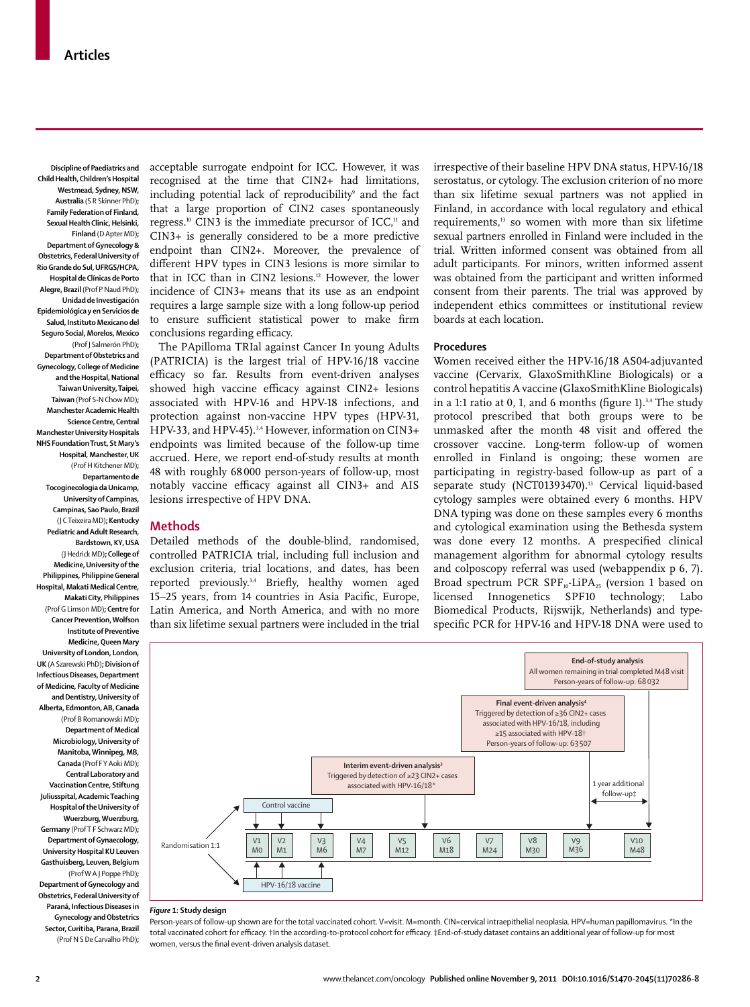**Discipline of Paediatrics and Child Health, Children's Hospital Westmead, Sydney, NSW, Australia** (S R Skinner PhD)**; Family Federation of Finland, Sexual Health Clinic, Helsinki, Finland** (D Apter MD)**; Department of Gynecology & Obstetrics, Federal University of Rio Grande do Sul, UFRGS/HCPA, Hospital de Clínicas de Porto Alegre, Brazil** (Prof P Naud PhD)**; Unidad de Investigación Epidemiológica y en Servicios de Salud, Instituto Mexicano del Seguro Social, Morelos, Mexico**  (Prof J Salmerón PhD)**; Department of Obstetrics and Gynecology, College of Medicine and the Hospital, National Taiwan University, Taipei, Taiwan** (Prof S-N Chow MD)**; Manchester Academic Health Science Centre, Central Manchester University Hospitals NHS Foundation Trust, St Mary's Hospital, Manchester, UK**  (Prof H Kitchener MD)**; Departamento de Tocoginecologia da Unicamp,** 

**University of Campinas, Campinas, Sao Paulo, Brazil**  (J C Teixeira MD)**; Kentucky Pediatric and Adult Research, Bardstown, KY, USA**  (J Hedrick MD)**; College of Medicine, University of the Philippines, Philippine General Hospital, Makati Medical Centre, Makati City, Philippines**  (Prof G Limson MD)**; Centre for Cancer Prevention, Wolfson Institute of Preventive Medicine, Queen Mary University of London, London, UK** (A Szarewski PhD)**; Division of Infectious Diseases, Department of Medicine, Faculty of Medicine and Dentistry, University of Alberta, Edmonton, AB, Canada**  (Prof B Romanowski MD)**; Department of Medical Microbiology, University of Manitoba, Winnipeg, MB, Canada** (Prof F Y Aoki MD)**; Central Laboratory and Vaccination Centre, Stiftung Juliusspital, Academic Teaching Hospital of the University of Wuerzburg, Wuerzburg, Germany** (Prof T F Schwarz MD)**; Department of Gynaecology, University Hospital KU Leuven Gasthuisberg, Leuven, Belgium**  (Prof W A J Poppe PhD)**; Department of Gynecology and Obstetrics, Federal University of Paraná, Infectious Diseases in** 

**Gynecology and Obstetrics Sector, Curitiba, Parana, Brazil** (Prof N S De Carvalho PhD)**;**  acceptable surrogate endpoint for ICC. However, it was recognised at the time that CIN2+ had limitations, including potential lack of reproducibility<sup>,</sup> and the fact that a large proportion of CIN2 cases spontaneously regress.<sup>10</sup> CIN3 is the immediate precursor of ICC,<sup>11</sup> and CIN3+ is generally considered to be a more predictive endpoint than CIN2+. Moreover, the prevalence of different HPV types in CIN3 lesions is more similar to that in ICC than in CIN2 lesions.<sup>12</sup> However, the lower incidence of CIN3+ means that its use as an endpoint requires a large sample size with a long follow-up period to ensure sufficient statistical power to make firm conclusions regarding efficacy.

The PApilloma TRIal against Cancer In young Adults (PATRICIA) is the largest trial of HPV-16/18 vaccine efficacy so far. Results from event-driven analyses showed high vaccine efficacy against CIN2+ lesions associated with HPV-16 and HPV-18 infections, and protection against non-vaccine HPV types (HPV-31, HPV-33, and HPV-45).<sup>3,4</sup> However, information on CIN3+ endpoints was limited because of the follow-up time accrued. Here, we report end-of-study results at month 48 with roughly 68 000 person-years of follow-up, most notably vaccine efficacy against all CIN3+ and AIS lesions irrespective of HPV DNA.

#### **Methods**

Detailed methods of the double-blind, randomised, controlled PATRICIA trial, including full inclusion and exclusion criteria, trial locations, and dates, has been reported previously.<sup>3,4</sup> Briefly, healthy women aged 15–25 years, from 14 countries in Asia Pacific, Europe, Latin America, and North America, and with no more than six lifetime sexual partners were included in the trial irrespective of their baseline HPV DNA status, HPV-16/18 serostatus, or cytology. The exclusion criterion of no more than six lifetime sexual partners was not applied in Finland, in accordance with local regulatory and ethical requirements,<sup>13</sup> so women with more than six lifetime sexual partners enrolled in Finland were included in the trial. Written informed consent was obtained from all adult participants. For minors, written informed assent was obtained from the participant and written informed consent from their parents. The trial was approved by independent ethics committees or institutional review boards at each location.

## **Procedures**

Women received either the HPV-16/18 AS04-adjuvanted vaccine (Cervarix, GlaxoSmithKline Biologicals) or a control hepatitis A vaccine (GlaxoSmithKline Biologicals) in a 1:1 ratio at 0, 1, and 6 months (figure 1).<sup>3,4</sup> The study protocol prescribed that both groups were to be unmasked after the month 48 visit and offered the crossover vaccine. Long-term follow-up of women enrolled in Finland is ongoing; these women are participating in registry-based follow-up as part of a separate study (NCT01393470).<sup>13</sup> Cervical liquid-based cytology samples were obtained every 6 months. HPV DNA typing was done on these samples every 6 months and cytological examination using the Bethesda system was done every 12 months. A prespecified clinical management algorithm for abnormal cytology results and colposcopy referral was used (webappendix p 6, 7). Broad spectrum PCR  $SPF_{10}$ -LiPA<sub>25</sub> (version 1 based on licensed Innogenetics SPF10 technology; Labo Biomedical Products, Rijswijk, Netherlands) and typespecific PCR for HPV-16 and HPV-18 DNA were used to



#### *Figure 1:* **Study design**

Person-years of follow-up shown are for the total vaccinated cohort. V=visit. M=month. CIN=cervical intraepithelial neoplasia. HPV=human papillomavirus. \*In the total vaccinated cohort for efficacy. †In the according-to-protocol cohort for efficacy. ‡End-of-study dataset contains an additional year of follow-up for most women, versus the final event-driven analysis dataset.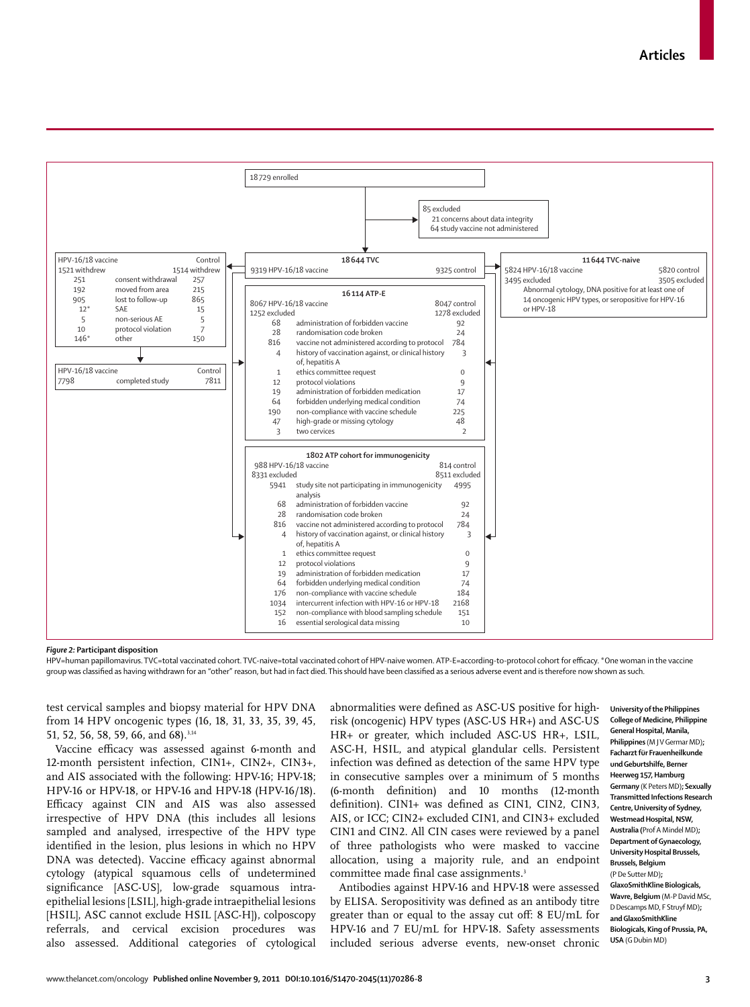

*Figure 2:* **Participant disposition**

HPV=human papillomavirus. TVC=total vaccinated cohort. TVC-naive=total vaccinated cohort of HPV-naive women. ATP-E=according-to-protocol cohort for efficacy. \*One woman in the vaccine group was classified as having withdrawn for an "other" reason, but had in fact died. This should have been classified as a serious adverse event and is therefore now shown as such.

test cervical samples and biopsy material for HPV DNA from 14 HPV oncogenic types (16, 18, 31, 33, 35, 39, 45, 51, 52, 56, 58, 59, 66, and 68).<sup>3,14</sup>

Vaccine efficacy was assessed against 6-month and 12-month persistent infection, CIN1+, CIN2+, CIN3+, and AIS associated with the following: HPV-16; HPV-18; HPV-16 or HPV-18, or HPV-16 and HPV-18 (HPV-16/18). Efficacy against CIN and AIS was also assessed irrespective of HPV DNA (this includes all lesions sampled and analysed, irrespective of the HPV type identified in the lesion, plus lesions in which no HPV DNA was detected). Vaccine efficacy against abnormal cytology (atypical squamous cells of undetermined significance [ASC-US], low-grade squamous intraepithelial lesions [LSIL], high-grade intraepithelial lesions [HSIL], ASC cannot exclude HSIL [ASC-H]), colposcopy referrals, and cervical excision procedures was also assessed. Additional categories of cytological abnormalities were defined as ASC-US positive for highrisk (oncogenic) HPV types (ASC-US HR+) and ASC-US HR+ or greater, which included ASC-US HR+, LSIL, ASC-H, HSIL, and atypical glandular cells. Persistent infection was defined as detection of the same HPV type in consecutive samples over a minimum of 5 months (6-month definition) and 10 months (12-month definition). CIN1+ was defined as CIN1, CIN2, CIN3, AIS, or ICC; CIN2+ excluded CIN1, and CIN3+ excluded CIN1 and CIN2. All CIN cases were reviewed by a panel of three pathologists who were masked to vaccine allocation, using a majority rule, and an endpoint committee made final case assignments.<sup>3</sup>

Antibodies against HPV-16 and HPV-18 were assessed by ELISA. Seropositivity was defined as an antibody titre greater than or equal to the assay cut off: 8 EU/mL for HPV-16 and 7 EU/mL for HPV-18. Safety assessments included serious adverse events, new-onset chronic

**University of the Philippines College of Medicine, Philippine General Hospital, Manila, Philippines** (M J V Germar MD)**; Facharzt für Frauenheilkunde und Geburtshilfe, Berner Heerweg 157, Hamburg Germany** (K Peters MD)**; Sexually Transmitted Infections Research Centre, University of Sydney, Westmead Hospital, NSW, Australia (**Prof A Mindel MD)**; Department of Gynaecology, University Hospital Brussels, Brussels, Belgium**  (P De Sutter MD)**; GlaxoSmithKline Biologicals, Wavre, Belgium** (M-P David MSc, D Descamps MD, F Struyf MD)**; and GlaxoSmithKline Biologicals, King of Prussia, PA, USA** (G Dubin MD)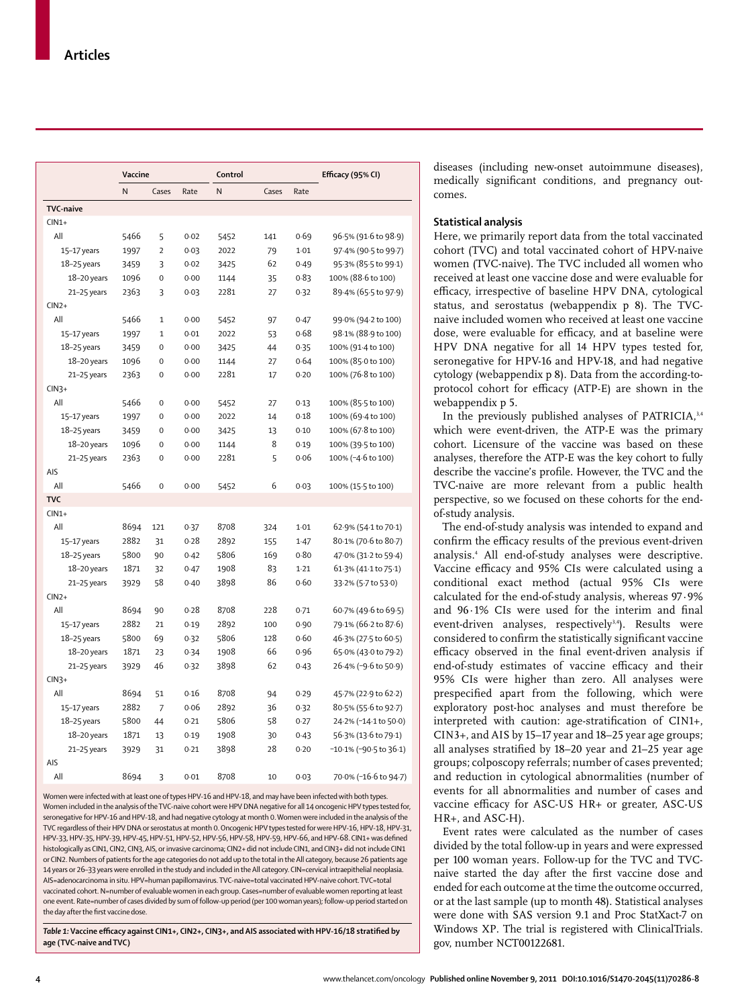|                  | Vaccine |                |      | Control |       |      | Efficacy (95% CI)      |
|------------------|---------|----------------|------|---------|-------|------|------------------------|
|                  | N       | Cases          | Rate | N       | Cases | Rate |                        |
| <b>TVC-naive</b> |         |                |      |         |       |      |                        |
| $CIN1+$          |         |                |      |         |       |      |                        |
| All              | 5466    | 5              | 0.02 | 5452    | 141   | 0.69 | 96.5% (91.6 to 98.9)   |
| 15-17 years      | 1997    | $\overline{2}$ | 0.03 | 2022    | 79    | 1.01 | 97.4% (90.5 to 99.7)   |
| $18-25$ years    | 3459    | 3              | 0.02 | 3425    | 62    | 0.49 | 95.3% (85.5 to 99.1)   |
| 18-20 years      | 1096    | $\mathbf 0$    | 0.00 | 1144    | 35    | 0.83 | 100% (88.6 to 100)     |
| 21-25 years      | 2363    | 3              | 0.03 | 2281    | 27    | 0.32 | 89.4% (65.5 to 97.9)   |
| $CIN2+$          |         |                |      |         |       |      |                        |
| All              | 5466    | $\mathbf{1}$   | 0.00 | 5452    | 97    | 0.47 | 99.0% (94.2 to 100)    |
| 15-17 years      | 1997    | $\mathbf 1$    | 0.01 | 2022    | 53    | 0.68 | 98.1% (88.9 to 100)    |
| 18-25 years      | 3459    | $\mathbf 0$    | 0.00 | 3425    | 44    | 0.35 | 100% (91.4 to 100)     |
| 18-20 years      | 1096    | $\mathbf 0$    | 0.00 | 1144    | 27    | 0.64 | 100% (85.0 to 100)     |
| 21-25 years      | 2363    | $\mathbf 0$    | 0.00 | 2281    | 17    | 0.20 | 100% (76.8 to 100)     |
| $CIN3+$          |         |                |      |         |       |      |                        |
| All              | 5466    | 0              | 0.00 | 5452    | 27    | 0.13 | 100% (85.5 to 100)     |
| 15-17 years      | 1997    | $\mathbf 0$    | 0.00 | 2022    | 14    | 0.18 | 100% (69-4 to 100)     |
| 18-25 years      | 3459    | $\mathbf 0$    | 0.00 | 3425    | 13    | 0.10 | 100% (67.8 to 100)     |
| 18-20 years      | 1096    | $\mathbf 0$    | 0.00 | 1144    | 8     | 0.19 | 100% (39.5 to 100)     |
| 21-25 years      | 2363    | $\mathbf 0$    | 0.00 | 2281    | 5     | 0.06 | 100% (-4.6 to 100)     |
| AIS              |         |                |      |         |       |      |                        |
| All              | 5466    | 0              | 0.00 | 5452    | 6     | 0.03 | 100% (15.5 to 100)     |
| <b>TVC</b>       |         |                |      |         |       |      |                        |
| $CIN1+$          |         |                |      |         |       |      |                        |
| All              | 8694    | 121            | 0.37 | 8708    | 324   | 1.01 | 62.9% (54.1 to 70.1)   |
| 15-17 years      | 2882    | 31             | 0.28 | 2892    | 155   | 1.47 | 80.1% (70.6 to 80.7)   |
| $18-25$ years    | 5800    | 90             | 0.42 | 5806    | 169   | 0.80 | 47.0% (31.2 to 59.4)   |
| 18-20 years      | 1871    | 32             | 0.47 | 1908    | 83    | 1.21 | 61.3% (41.1 to 75.1)   |
| 21-25 years      | 3929    | 58             | 0.40 | 3898    | 86    | 0.60 | 33.2% (5.7 to 53.0)    |
| $CIN2+$          |         |                |      |         |       |      |                        |
| All              | 8694    | 90             | 0.28 | 8708    | 228   | 0.71 | 60.7% (49.6 to 69.5)   |
| 15-17 years      | 2882    | 21             | 0.19 | 2892    | 100   | 0.90 | 79.1% (66.2 to 87.6)   |
| $18-25$ years    | 5800    | 69             | 0.32 | 5806    | 128   | 0.60 | 46.3% (27.5 to 60.5)   |
| 18-20 years      | 1871    | 23             | 0.34 | 1908    | 66    | 0.96 | 65.0% (43.0 to 79.2)   |
| 21-25 years      | 3929    | 46             | 0.32 | 3898    | 62    | 0.43 | 26.4% (-9.6 to 50.9)   |
| $CIN3+$          |         |                |      |         |       |      |                        |
| All              | 8694    | 51             | 0.16 | 8708    | 94    | 0.29 | 45.7% (22.9 to 62.2)   |
| 15-17 years      | 2882    | $\overline{7}$ | 0.06 | 2892    | 36    | 0.32 | 80.5% (55.6 to 92.7)   |
| 18–25 years      | 5800    | 44             | 0.21 | 5806    | 58    | 0.27 | 24.2% (-14.1 to 50.0)  |
| 18-20 years      | 1871    | 13             | 0.19 | 1908    | 30    | 0.43 | 56.3% (13.6 to 79.1)   |
| 21-25 years      | 3929    | 31             | 0.21 | 3898    | 28    | 0.20 | -10·1% (-90·5 to 36·1) |
| AIS              |         |                |      |         |       |      |                        |
| All              | 8694    | 3              | 0.01 | 8708    | 10    | 0.03 | 70.0% (-16.6 to 94.7)  |
|                  |         |                |      |         |       |      |                        |

Women were infected with at least one of types HPV-16 and HPV-18, and may have been infected with both types. Women included in the analysis of the TVC-naive cohort were HPV DNA negative for all 14 oncogenic HPV types tested for, seronegative for HPV-16 and HPV-18, and had negative cytology at month 0. Women were included in the analysis of the TVC regardless of their HPV DNA or serostatus at month 0. Oncogenic HPV types tested for were HPV-16, HPV-18, HPV-31, HPV-33, HPV-35, HPV-39, HPV-45, HPV-51, HPV-52, HPV-56, HPV-58, HPV-59, HPV-66, and HPV-68. CIN1+ was defined histologically as CIN1, CIN2, CIN3, AIS, or invasive carcinoma; CIN2+ did not include CIN1, and CIN3+ did not include CIN1 or CIN2. Numbers of patients for the age categories do not add up to the total in the All category, because 26 patients age 14 years or 26–33 years were enrolled in the study and included in the All category. CIN=cervical intraepithelial neoplasia. AIS=adenocarcinoma in situ. HPV=human papillomavirus. TVC-naive=total vaccinated HPV-naive cohort. TVC=total vaccinated cohort. N=number of evaluable women in each group. Cases=number of evaluable women reporting at least one event. Rate=number of cases divided by sum of follow-up period (per 100 woman years); follow-up period started on the day after the first vaccine dose

Table 1: Vaccine efficacy against CIN1+, CIN2+, CIN3+, and AIS associated with HPV-16/18 stratified by **age (TVC-naive and TVC)**

diseases (including new-onset autoimmune diseases), medically significant conditions, and pregnancy outcomes.

### **Statistical analysis**

Here, we primarily report data from the total vaccinated cohort (TVC) and total vaccinated cohort of HPV-naive women (TVC-naive). The TVC included all women who received at least one vaccine dose and were evaluable for efficacy, irrespective of baseline HPV DNA, cytological status, and serostatus (webappendix p 8). The TVCnaive included women who received at least one vaccine dose, were evaluable for efficacy, and at baseline were HPV DNA negative for all 14 HPV types tested for, seronegative for HPV-16 and HPV-18, and had negative cytology (webappendix p 8). Data from the according-toprotocol cohort for efficacy (ATP-E) are shown in the webappendix p 5.

In the previously published analyses of PATRICIA, $3,4$ which were event-driven, the ATP-E was the primary cohort. Licensure of the vaccine was based on these analyses, therefore the ATP-E was the key cohort to fully describe the vaccine's profile. However, the TVC and the TVC-naive are more relevant from a public health perspective, so we focused on these cohorts for the endof-study analysis.

The end-of-study analysis was intended to expand and confirm the efficacy results of the previous event-driven analysis.4 All end-of-study analyses were descriptive. Vaccine efficacy and 95% CIs were calculated using a conditional exact method (actual 95% CIs were calculated for the end-of-study analysis, whereas 97·9% and  $96.1\%$  CIs were used for the interim and final event-driven analyses, respectively<sup>3,4</sup>). Results were considered to confirm the statistically significant vaccine efficacy observed in the final event-driven analysis if end-of-study estimates of vaccine efficacy and their 95% CIs were higher than zero. All analyses were prespecified apart from the following, which were exploratory post-hoc analyses and must therefore be interpreted with caution: age-stratification of CIN1+, CIN3+, and AIS by 15–17 year and 18–25 year age groups; all analyses stratified by  $18-20$  year and  $21-25$  year age groups; colposcopy referrals; number of cases prevented; and reduction in cytological abnormalities (number of events for all abnormalities and number of cases and vaccine efficacy for ASC-US HR+ or greater, ASC-US HR+, and ASC-H).

Event rates were calculated as the number of cases divided by the total follow-up in years and were expressed per 100 woman years. Follow-up for the TVC and TVCnaive started the day after the first vaccine dose and ended for each outcome at the time the outcome occurred, or at the last sample (up to month 48). Statistical analyses were done with SAS version 9.1 and Proc StatXact-7 on Windows XP. The trial is registered with ClinicalTrials. gov, number NCT00122681.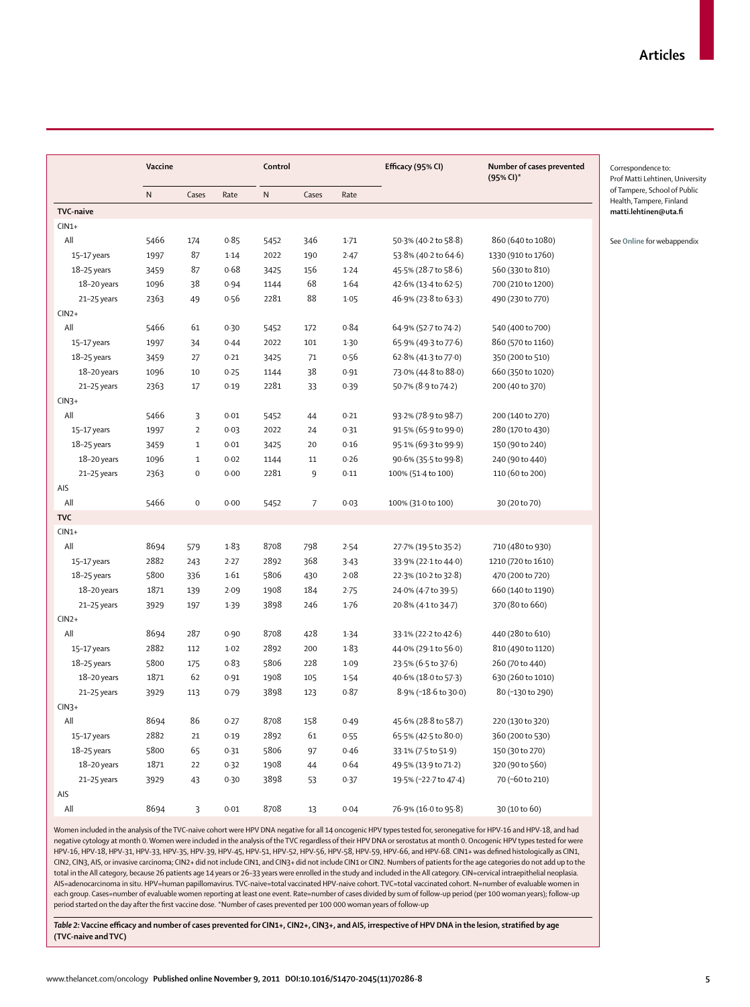|                  | Vaccine   |                     |        | Control   |                | Efficacy (95% CI) | Number of cases prevented<br>(95% CI)* | Correspondence to:<br>Prof Matti Lehtinen, University |                                                          |
|------------------|-----------|---------------------|--------|-----------|----------------|-------------------|----------------------------------------|-------------------------------------------------------|----------------------------------------------------------|
|                  | ${\sf N}$ | Cases               | Rate   | ${\sf N}$ | Cases          | Rate              |                                        |                                                       | of Tampere, School of Public<br>Health, Tampere, Finland |
| <b>TVC-naive</b> |           |                     |        |           |                |                   |                                        |                                                       | matti.lehtinen@uta.fi                                    |
| $CIN1+$          |           |                     |        |           |                |                   |                                        |                                                       |                                                          |
| All              | 5466      | 174                 | 0.85   | 5452      | 346            | $1-71$            | 50.3% (40.2 to 58.8)                   | 860 (640 to 1080)                                     | See Online for webappendix                               |
| 15-17 years      | 1997      | 87                  | 1.14   | 2022      | 190            | 2.47              | 53.8% (40.2 to 64.6)                   | 1330 (910 to 1760)                                    |                                                          |
| $18 - 25$ years  | 3459      | 87                  | 0.68   | 3425      | 156            | 1.24              | 45.5% (28.7 to 58.6)                   | 560 (330 to 810)                                      |                                                          |
| $18-20$ years    | 1096      | 38                  | 0.94   | 1144      | 68             | 1.64              | 42.6% (13.4 to 62.5)                   | 700 (210 to 1200)                                     |                                                          |
| 21-25 years      | 2363      | 49                  | 0.56   | 2281      | 88             | 1.05              | 46.9% (23.8 to 63.3)                   | 490 (230 to 770)                                      |                                                          |
| $CIN2+$          |           |                     |        |           |                |                   |                                        |                                                       |                                                          |
| All              | 5466      | 61                  | 0.30   | 5452      | 172            | 0.84              | 64.9% (52.7 to 74.2)                   | 540 (400 to 700)                                      |                                                          |
| 15-17 years      | 1997      | 34                  | 0.44   | 2022      | 101            | 1.30              | 65.9% (49.3 to 77.6)                   | 860 (570 to 1160)                                     |                                                          |
| $18 - 25$ years  | 3459      | 27                  | 0.21   | 3425      | 71             | 0.56              | 62.8% (41.3 to 77.0)                   | 350 (200 to 510)                                      |                                                          |
| 18-20 years      | 1096      | 10                  | 0.25   | 1144      | 38             | 0.91              | 73.0% (44.8 to 88.0)                   | 660 (350 to 1020)                                     |                                                          |
| 21-25 years      | 2363      | 17                  | 0.19   | 2281      | 33             | 0.39              | 50.7% (8.9 to 74.2)                    | 200 (40 to 370)                                       |                                                          |
| $CIN3+$          |           |                     |        |           |                |                   |                                        |                                                       |                                                          |
| All              | 5466      | 3                   | 0.01   | 5452      | 44             | 0.21              | 93.2% (78.9 to 98.7)                   | 200 (140 to 270)                                      |                                                          |
| 15-17 years      | 1997      | $\overline{2}$      | 0.03   | 2022      | 24             | 0.31              | 91.5% (65.9 to 99.0)                   | 280 (170 to 430)                                      |                                                          |
| 18-25 years      | 3459      | $\mathbf{1}$        | 0.01   | 3425      | 20             | 0.16              | 95.1% (69.3 to 99.9)                   | 150 (90 to 240)                                       |                                                          |
| 18-20 years      | 1096      | $\mathbf{1}$        | 0.02   | 1144      | 11             | 0.26              | 90.6% (35.5 to 99.8)                   | 240 (90 to 440)                                       |                                                          |
| 21-25 years      | 2363      | $\mathsf{O}\xspace$ | 0.00   | 2281      | 9              | 0.11              | 100% (51.4 to 100)                     | 110 (60 to 200)                                       |                                                          |
| AIS              |           |                     |        |           |                |                   |                                        |                                                       |                                                          |
| All              | 5466      | $\mathbf 0$         | 0.00   | 5452      | $\overline{7}$ | 0.03              | 100% (31.0 to 100)                     | 30 (20 to 70)                                         |                                                          |
| <b>TVC</b>       |           |                     |        |           |                |                   |                                        |                                                       |                                                          |
| $CIN1+$          |           |                     |        |           |                |                   |                                        |                                                       |                                                          |
| All              | 8694      | 579                 | 1.83   | 8708      | 798            | 2.54              | 27.7% (19.5 to 35.2)                   | 710 (480 to 930)                                      |                                                          |
| 15-17 years      | 2882      | 243                 | 2.27   | 2892      | 368            | 3.43              | 33.9% (22.1 to 44.0)                   | 1210 (720 to 1610)                                    |                                                          |
| 18-25 years      | 5800      | 336                 | 1.61   | 5806      | 430            | 2.08              | 22.3% (10.2 to 32.8)                   | 470 (200 to 720)                                      |                                                          |
| 18-20 years      | 1871      | 139                 | 2.09   | 1908      | 184            | 2.75              | 24.0% (4.7 to 39.5)                    | 660 (140 to 1190)                                     |                                                          |
| 21-25 years      | 3929      | 197                 | 1.39   | 3898      | 246            | 1.76              | 20.8% (4.1 to 34.7)                    | 370 (80 to 660)                                       |                                                          |
| $CIN2+$          |           |                     |        |           |                |                   |                                        |                                                       |                                                          |
| All              | 8694      | 287                 | 0.90   | 8708      | 428            | 1.34              | 33.1% (22.2 to 42.6)                   | 440 (280 to 610)                                      |                                                          |
| 15-17 years      | 2882      | 112                 | $1-02$ | 2892      | 200            | 1.83              | 44.0% (29.1 to 56.0)                   | 810 (490 to 1120)                                     |                                                          |
| $18 - 25$ years  | 5800      | 175                 | 0.83   | 5806      | 228            | 1.09              | 23.5% (6.5 to 37.6)                    | 260 (70 to 440)                                       |                                                          |
| 18-20 years      | 1871      | 62                  | 0.91   | 1908      | 105            | 1.54              | 40.6% (18.0 to 57.3)                   | 630 (260 to 1010)                                     |                                                          |
| 21-25 years      | 3929      | 113                 | 0.79   | 3898      | 123            | 0.87              | 8.9% (-18.6 to 30.0)                   | 80 (-130 to 290)                                      |                                                          |
| $CIN3+$          |           |                     |        |           |                |                   |                                        |                                                       |                                                          |
| All              | 8694      | 86                  | 0.27   | 8708      | 158            | 0.49              | 45.6% (28.8 to 58.7)                   | 220 (130 to 320)                                      |                                                          |
| 15-17 years      | 2882      | 21                  | 0.19   | 2892      | 61             | 0.55              | 65.5% (42.5 to 80.0)                   | 360 (200 to 530)                                      |                                                          |
| 18-25 years      | 5800      | 65                  | 0.31   | 5806      | 97             | 0.46              | 33.1% (7.5 to 51.9)                    | 150 (30 to 270)                                       |                                                          |
| 18-20 years      | 1871      | 22                  | 0.32   | 1908      | 44             | 0.64              | 49.5% (13.9 to 71.2)                   | 320 (90 to 560)                                       |                                                          |
| 21-25 years      | 3929      | 43                  | 0.30   | 3898      | 53             | 0.37              | 19.5% (-22.7 to 47.4)                  | 70 (-60 to 210)                                       |                                                          |
| AIS              |           |                     |        |           |                |                   |                                        |                                                       |                                                          |
| All              | 8694      | 3                   | 0.01   | 8708      | 13             | 0.04              | 76.9% (16.0 to 95.8)                   | 30 (10 to 60)                                         |                                                          |

Women included in the analysis of the TVC-naive cohort were HPV DNA negative for all 14 oncogenic HPV types tested for, seronegative for HPV-16 and HPV-18, and had negative cytology at month 0. Women were included in the analysis of the TVC regardless of their HPV DNA or serostatus at month 0. Oncogenic HPV types tested for were HPV-16, HPV-18, HPV-31, HPV-33, HPV-35, HPV-39, HPV-45, HPV-51, HPV-52, HPV-56, HPV-58, HPV-59, HPV-66, and HPV-68. CIN1+ was defined histologically as CIN1, CIN2, CIN3, AIS, or invasive carcinoma; CIN2+ did not include CIN1, and CIN3+ did not include CIN1 or CIN2. Numbers of patients for the age categories do not add up to the total in the All category, because 26 patients age 14 years or 26–33 years were enrolled in the study and included in the All category. CIN=cervical intraepithelial neoplasia. AIS=adenocarcinoma in situ. HPV=human papillomavirus. TVC-naive=total vaccinated HPV-naive cohort. TVC=total vaccinated cohort. N=number of evaluable women in each group. Cases=number of evaluable women reporting at least one event. Rate=number of cases divided by sum of follow-up period (per 100 woman years); follow-up period started on the day after the first vaccine dose. \*Number of cases prevented per 100 000 woman years of follow-up

Table 2: Vaccine efficacy and number of cases prevented for CIN1+, CIN2+, CIN3+, and AIS, irrespective of HPV DNA in the lesion, stratified by age **(TVC-naive and TVC)**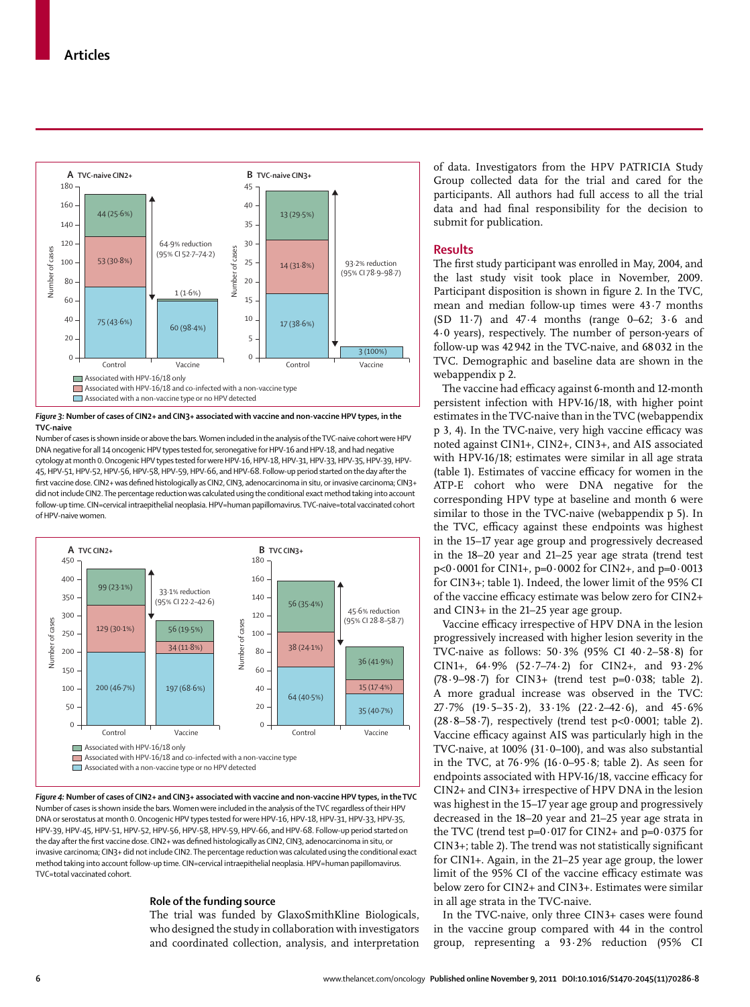

*Figure 3:* **Number of cases of CIN2+ and CIN3+ associated with vaccine and non-vaccine HPV types, in the TVC-naive**

Number of cases is shown inside or above the bars. Women included in the analysis of the TVC-naive cohort were HPV DNA negative for all 14 oncogenic HPV types tested for, seronegative for HPV-16 and HPV-18, and had negative cytology at month 0. Oncogenic HPV types tested for were HPV-16, HPV-18, HPV-31, HPV-33, HPV-35, HPV-39, HPV-45, HPV-51, HPV-52, HPV-56, HPV-58, HPV-59, HPV-66, and HPV-68. Follow-up period started on the day after the first vaccine dose. CIN2+ was defined histologically as CIN2, CIN3, adenocarcinoma in situ, or invasive carcinoma; CIN3+ did not include CIN2. The percentage reduction was calculated using the conditional exact method taking into account follow-up time. CIN=cervical intraepithelial neoplasia. HPV=human papillomavirus. TVC-naive=total vaccinated cohort of HPV-naive women.



*Figure 4:* **Number of cases of CIN2+ and CIN3+ associated with vaccine and non-vaccine HPV types, in the TVC** Number of cases is shown inside the bars. Women were included in the analysis of the TVC regardless of their HPV DNA or serostatus at month 0. Oncogenic HPV types tested for were HPV-16, HPV-18, HPV-31, HPV-33, HPV-35, HPV-39, HPV-45, HPV-51, HPV-52, HPV-56, HPV-58, HPV-59, HPV-66, and HPV-68. Follow-up period started on the day after the first vaccine dose. CIN2+ was defined histologically as CIN2, CIN3, adenocarcinoma in situ, or invasive carcinoma; CIN3+ did not include CIN2. The percentage reduction was calculated using the conditional exact method taking into account follow-up time. CIN=cervical intraepithelial neoplasia. HPV=human papillomavirus. TVC=total vaccinated cohort.

# **Role of the funding source**

The trial was funded by GlaxoSmithKline Biologicals, who designed the study in collaboration with investigators and coordinated collection, analysis, and interpretation of data. Investigators from the HPV PATRICIA Study Group collected data for the trial and cared for the participants. All authors had full access to all the trial data and had final responsibility for the decision to submit for publication.

## **Results**

The first study participant was enrolled in May, 2004, and the last study visit took place in November, 2009. Participant disposition is shown in figure 2. In the TVC, mean and median follow-up times were 43·7 months (SD 11·7) and 47·4 months (range 0–62; 3·6 and 4·0 years), respectively. The number of person-years of follow-up was 42 942 in the TVC-naive, and 68 032 in the TVC. Demographic and baseline data are shown in the webappendix p 2.

The vaccine had efficacy against 6-month and 12-month persistent infection with HPV-16/18, with higher point estimates in the TVC-naive than in the TVC (webappendix p 3, 4). In the TVC-naive, very high vaccine efficacy was noted against CIN1+, CIN2+, CIN3+, and AIS associated with HPV-16/18; estimates were similar in all age strata (table 1). Estimates of vaccine efficacy for women in the ATP-E cohort who were DNA negative for the corresponding HPV type at baseline and month 6 were similar to those in the TVC-naive (webappendix p 5). In the TVC, efficacy against these endpoints was highest in the 15–17 year age group and progressively decreased in the 18–20 year and 21–25 year age strata (trend test p<0·0001 for CIN1+, p=0·0002 for CIN2+, and p=0·0013 for CIN3+; table 1). Indeed, the lower limit of the 95% CI of the vaccine efficacy estimate was below zero for CIN2+ and CIN3+ in the 21–25 year age group.

Vaccine efficacy irrespective of HPV DNA in the lesion progressively increased with higher lesion severity in the TVC-naive as follows: 50·3% (95% CI 40·2–58·8) for CIN1+, 64·9% (52·7–74·2) for CIN2+, and 93·2% (78·9–98·7) for CIN3+ (trend test p=0·038; table 2). A more gradual increase was observed in the TVC: 27·7% (19·5–35·2), 33·1% (22·2–42·6), and 45·6%  $(28.8-58.7)$ , respectively (trend test p<0.0001; table 2). Vaccine efficacy against AIS was particularly high in the TVC-naive, at 100% (31·0–100), and was also substantial in the TVC, at  $76.9\%$  (16.0–95.8; table 2). As seen for endpoints associated with HPV-16/18, vaccine efficacy for CIN2+ and CIN3+ irrespective of HPV DNA in the lesion was highest in the 15–17 year age group and progressively decreased in the 18–20 year and 21–25 year age strata in the TVC (trend test  $p=0.017$  for CIN2+ and  $p=0.0375$  for  $CIN3+$ ; table 2). The trend was not statistically significant for CIN1+. Again, in the 21–25 year age group, the lower limit of the 95% CI of the vaccine efficacy estimate was below zero for CIN2+ and CIN3+. Estimates were similar in all age strata in the TVC-naive.

In the TVC-naive, only three CIN3+ cases were found in the vaccine group compared with 44 in the control group, representing a 93·2% reduction (95% CI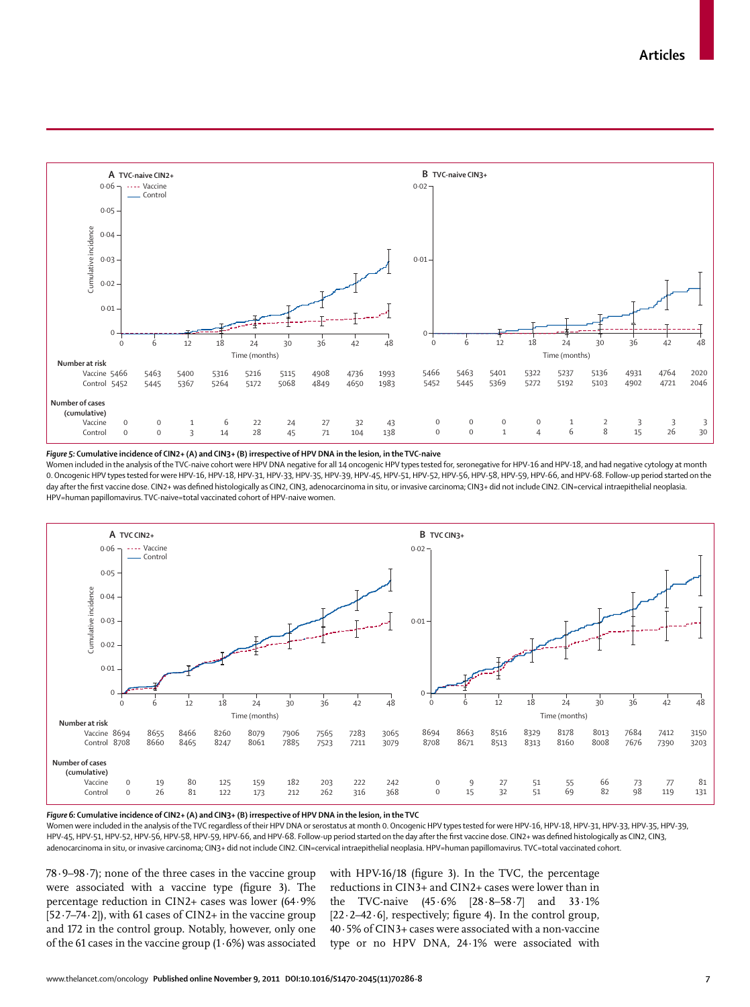

*Figure 5:* **Cumulative incidence of CIN2+ (A) and CIN3+ (B) irrespective of HPV DNA in the lesion, in the TVC-naive**

Women included in the analysis of the TVC-naive cohort were HPV DNA negative for all 14 oncogenic HPV types tested for, seronegative for HPV-16 and HPV-18, and had negative cytology at month 0. Oncogenic HPV types tested for were HPV-16, HPV-18, HPV-31, HPV-33, HPV-35, HPV-39, HPV-45, HPV-51, HPV-52, HPV-56, HPV-58, HPV-59, HPV-66, and HPV-68. Follow-up period started on the day after the first vaccine dose. CIN2+ was defined histologically as CIN2, CIN3, adenocarcinoma in situ, or invasive carcinoma; CIN3+ did not include CIN2. CIN=cervical intraepithelial neoplasia.



*Figure 6:* **Cumulative incidence of CIN2+ (A) and CIN3+ (B) irrespective of HPV DNA in the lesion, in the TVC**

Women were included in the analysis of the TVC regardless of their HPV DNA or serostatus at month 0. Oncogenic HPV types tested for were HPV-16, HPV-18, HPV-31, HPV-33, HPV-35, HPV-39, HPV-39, HPV-45, HPV-51, HPV-52, HPV-56, HPV-58, HPV-59, HPV-66, and HPV-68. Follow-up period started on the day after the first vaccine dose. CIN2+ was defined histologically as CIN2, CIN3,

78·9–98·7); none of the three cases in the vaccine group were associated with a vaccine type (figure 3). The percentage reduction in CIN2+ cases was lower (64·9% [52·7–74·2]), with 61 cases of CIN2+ in the vaccine group and 172 in the control group. Notably, however, only one of the 61 cases in the vaccine group  $(1.6\%)$  was associated with HPV-16/18 (figure 3). In the TVC, the percentage reductions in CIN3+ and CIN2+ cases were lower than in the TVC-naive (45·6% [28·8–58·7] and 33·1%  $[22.2-42.6]$ , respectively; figure 4). In the control group, 40·5% of CIN3+ cases were associated with a non-vaccine type or no HPV DNA, 24·1% were associated with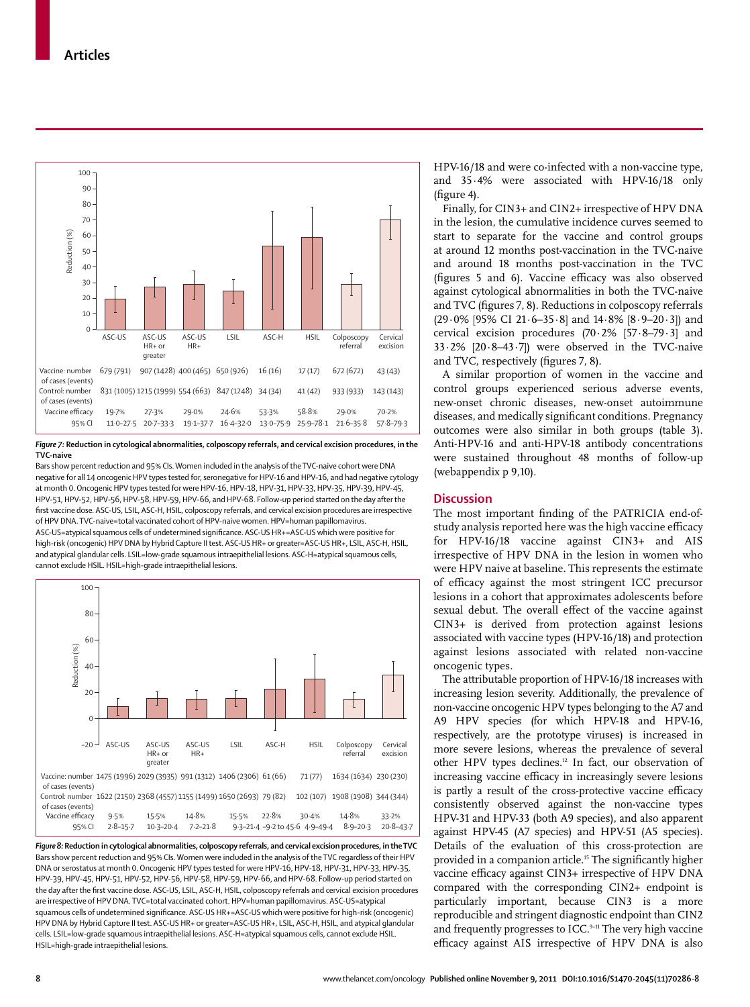

*Figure 7:* **Reduction in cytological abnormalities, colposcopy referrals, and cervical excision procedures, in the TVC-naive**

Bars show percent reduction and 95% CIs. Women included in the analysis of the TVC-naive cohort were DNA negative for all 14 oncogenic HPV types tested for, seronegative for HPV-16 and HPV-16, and had negative cytology at month 0. Oncogenic HPV types tested for were HPV-16, HPV-18, HPV-31, HPV-33, HPV-35, HPV-39, HPV-45, HPV-51, HPV-52, HPV-56, HPV-58, HPV-59, HPV-66, and HPV-68. Follow-up period started on the day after the first vaccine dose. ASC-US, LSIL, ASC-H, HSIL, colposcopy referrals, and cervical excision procedures are irrespective of HPV DNA. TVC-naive=total vaccinated cohort of HPV-naive women. HPV=human papillomavirus. ASC-US=atypical squamous cells of undetermined significance. ASC-US HR+=ASC-US which were positive for high-risk (oncogenic) HPV DNA by Hybrid Capture II test. ASC-US HR+ or greater=ASC-US HR+, LSIL, ASC-H, HSIL, and atypical glandular cells. LSIL=low-grade squamous intraepithelial lesions. ASC-H=atypical squamous cells, cannot exclude HSIL. HSIL=high-grade intraepithelial lesions.



*Figure 8:* **Reduction in cytological abnormalities, colposcopy referrals, and cervical excision procedures, in the TVC** Bars show percent reduction and 95% CIs. Women were included in the analysis of the TVC regardless of their HPV DNA or serostatus at month 0. Oncogenic HPV types tested for were HPV-16, HPV-18, HPV-31, HPV-33, HPV-35, HPV-39, HPV-45, HPV-51, HPV-52, HPV-56, HPV-58, HPV-59, HPV-66, and HPV-68. Follow-up period started on the day after the first vaccine dose. ASC-US, LSIL, ASC-H, HSIL, colposcopy referrals and cervical excision procedures are irrespective of HPV DNA. TVC=total vaccinated cohort. HPV=human papillomavirus. ASC-US=atypical squamous cells of undetermined significance. ASC-US HR+=ASC-US which were positive for high-risk (oncogenic) HPV DNA by Hybrid Capture II test. ASC-US HR+ or greater=ASC-US HR+, LSIL, ASC-H, HSIL, and atypical glandular cells. LSIL=low-grade squamous intraepithelial lesions. ASC-H=atypical squamous cells, cannot exclude HSIL. HSIL=high-grade intraepithelial lesions.

HPV-16/18 and were co-infected with a non-vaccine type, and 35·4% were associated with HPV-16/18 only  $(figure 4)$ .

Finally, for CIN3+ and CIN2+ irrespective of HPV DNA in the lesion, the cumulative incidence curves seemed to start to separate for the vaccine and control groups at around 12 months post-vaccination in the TVC-naive and around 18 months post-vaccination in the TVC (figures 5 and 6). Vaccine efficacy was also observed against cytological abnormalities in both the TVC-naive and TVC (figures 7, 8). Reductions in colposcopy referrals (29·0% [95% CI 21·6–35·8] and 14·8% [8·9–20·3]) and cervical excision procedures (70·2% [57·8–79·3] and 33·2% [20·8–43·7]) were observed in the TVC-naive and TVC, respectively (figures 7, 8).

A similar proportion of women in the vaccine and control groups experienced serious adverse events, new-onset chronic diseases, new-onset autoimmune diseases, and medically significant conditions. Pregnancy outcomes were also similar in both groups (table 3). Anti-HPV-16 and anti-HPV-18 antibody concentrations were sustained throughout 48 months of follow-up (webappendix p 9,10).

# **Discussion**

The most important finding of the PATRICIA end-ofstudy analysis reported here was the high vaccine efficacy for HPV-16/18 vaccine against CIN3+ and AIS irrespective of HPV DNA in the lesion in women who were HPV naive at baseline. This represents the estimate of efficacy against the most stringent ICC precursor lesions in a cohort that approximates adolescents before sexual debut. The overall effect of the vaccine against CIN3+ is derived from protection against lesions associated with vaccine types (HPV-16/18) and protection against lesions associated with related non-vaccine oncogenic types.

The attributable proportion of HPV-16/18 increases with increasing lesion severity. Additionally, the prevalence of non-vaccine oncogenic HPV types belonging to the A7 and A9 HPV species (for which HPV-18 and HPV-16, respectively, are the prototype viruses) is increased in more severe lesions, whereas the prevalence of several other HPV types declines.<sup>12</sup> In fact, our observation of increasing vaccine efficacy in increasingly severe lesions is partly a result of the cross-protective vaccine efficacy consistently observed against the non-vaccine types HPV-31 and HPV-33 (both A9 species), and also apparent against HPV-45 (A7 species) and HPV-51 (A5 species). Details of the evaluation of this cross-protection are provided in a companion article.<sup>15</sup> The significantly higher vaccine efficacy against CIN3+ irrespective of HPV DNA compared with the corresponding CIN2+ endpoint is particularly important, because CIN3 is a more reproducible and stringent diagnostic endpoint than CIN2 and frequently progresses to ICC. $9-11$  The very high vaccine efficacy against AIS irrespective of HPV DNA is also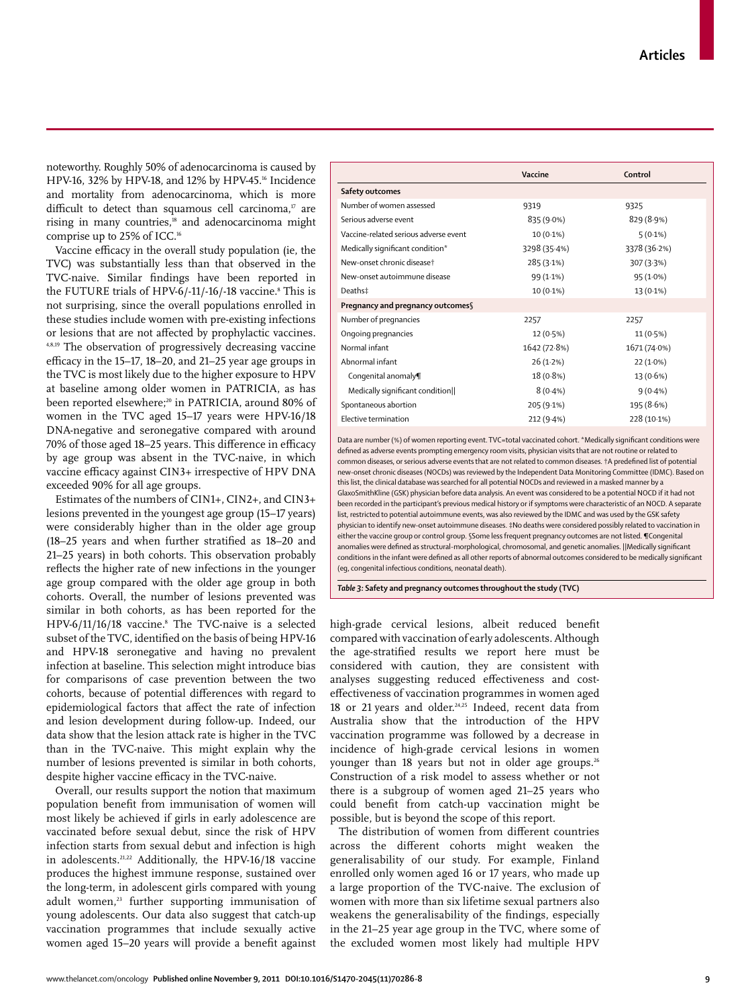www.thelancet.com/oncology **Published online November 9, 2011 DOI:10.1016/S1470-2045(11)70286-8 9**

noteworthy. Roughly 50% of adenocarcinoma is caused by HPV-16, 32% by HPV-18, and 12% by HPV-45.<sup>16</sup> Incidence and mortality from adenocarcinoma, which is more difficult to detect than squamous cell carcinoma, $17$  are rising in many countries,<sup>18</sup> and adenocarcinoma might comprise up to 25% of ICC.16

Vaccine efficacy in the overall study population (ie, the TVC) was substantially less than that observed in the TVC-naive. Similar findings have been reported in the FUTURE trials of HPV-6/-11/-16/-18 vaccine.<sup>s</sup> This is not surprising, since the overall populations enrolled in these studies include women with pre-existing infections or lesions that are not affected by prophylactic vaccines. 4,8,19 The observation of progressively decreasing vaccine efficacy in the 15–17, 18–20, and 21–25 year age groups in the TVC is most likely due to the higher exposure to HPV at baseline among older women in PATRICIA, as has been reported elsewhere;<sup>20</sup> in PATRICIA, around 80% of women in the TVC aged 15–17 years were HPV-16/18 DNA-negative and seronegative compared with around 70% of those aged 18-25 years. This difference in efficacy by age group was absent in the TVC-naive, in which vaccine efficacy against CIN3+ irrespective of HPV DNA exceeded 90% for all age groups.

Estimates of the numbers of CIN1+, CIN2+, and CIN3+ lesions prevented in the youngest age group (15–17 years) were considerably higher than in the older age group (18–25 years and when further stratified as  $18-20$  and 21–25 years) in both cohorts. This observation probably reflects the higher rate of new infections in the younger age group compared with the older age group in both cohorts. Overall, the number of lesions prevented was similar in both cohorts, as has been reported for the HPV-6/11/16/18 vaccine.8 The TVC-naive is a selected subset of the TVC, identified on the basis of being HPV-16 and HPV-18 seronegative and having no prevalent infection at baseline. This selection might introduce bias for comparisons of case prevention between the two cohorts, because of potential differences with regard to epidemiological factors that affect the rate of infection and lesion development during follow-up. Indeed, our data show that the lesion attack rate is higher in the TVC than in the TVC-naive. This might explain why the number of lesions prevented is similar in both cohorts, despite higher vaccine efficacy in the TVC-naive.

Overall, our results support the notion that maximum population benefit from immunisation of women will most likely be achieved if girls in early adolescence are vaccinated before sexual debut, since the risk of HPV infection starts from sexual debut and infection is high in adolescents.<sup>21,22</sup> Additionally, the HPV-16/18 vaccine produces the highest immune response, sustained over the long-term, in adolescent girls compared with young adult women,<sup>23</sup> further supporting immunisation of young adolescents. Our data also suggest that catch-up vaccination programmes that include sexually active women aged 15–20 years will provide a benefit against

|                                       | Vaccine      | Control      |  |  |  |  |
|---------------------------------------|--------------|--------------|--|--|--|--|
| Safety outcomes                       |              |              |  |  |  |  |
| Number of women assessed              | 9319         | 9325         |  |  |  |  |
| Serious adverse event                 | 835 (9.0%)   | 829 (8.9%)   |  |  |  |  |
| Vaccine-related serious adverse event | $10(0.1\%)$  | $5(0.1\%)$   |  |  |  |  |
| Medically significant condition*      | 3298 (35.4%) | 3378 (36.2%) |  |  |  |  |
| New-onset chronic disease†            | 285(3.1%)    | 307(3.3%)    |  |  |  |  |
| New-onset autoimmune disease          | 99 (1.1%)    | $95(1.0\%)$  |  |  |  |  |
| Deaths‡                               | $10(0.1\%)$  | $13(0.1\%)$  |  |  |  |  |
| Pregnancy and pregnancy outcomes§     |              |              |  |  |  |  |
| Number of pregnancies                 | 2257         | 2257         |  |  |  |  |
| Ongoing pregnancies                   | 12 (0.5%)    | $11(0.5\%)$  |  |  |  |  |
| Normal infant                         | 1642 (72.8%) | 1671 (74.0%) |  |  |  |  |
| Abnormal infant                       | 26(1.2%)     | $22(1.0\%)$  |  |  |  |  |
| Congenital anomaly¶                   | 18 (0.8%)    | $13(0.6\%)$  |  |  |  |  |
| Medically significant condition       | $8(0.4\%)$   | $9(0.4\%)$   |  |  |  |  |
| Spontaneous abortion                  | 205 (9.1%)   | 195 (8.6%)   |  |  |  |  |
| Elective termination                  | 212 (9.4%)   | 228 (10.1%)  |  |  |  |  |

Data are number (%) of women reporting event. TVC=total vaccinated cohort. \*Medically significant conditions were defined as adverse events prompting emergency room visits, physician visits that are not routine or related to common diseases, or serious adverse events that are not related to common diseases. †A predefined list of potential new-onset chronic diseases (NOCDs) was reviewed by the Independent Data Monitoring Committee (IDMC). Based on this list, the clinical database was searched for all potential NOCDs and reviewed in a masked manner by a GlaxoSmithKline (GSK) physician before data analysis. An event was considered to be a potential NOCD if it had not been recorded in the participant's previous medical history or if symptoms were characteristic of an NOCD. A separate list, restricted to potential autoimmune events, was also reviewed by the IDMC and was used by the GSK safety physician to identify new-onset autoimmune diseases. ‡No deaths were considered possibly related to vaccination in either the vaccine group or control group. §Some less frequent pregnancy outcomes are not listed. ¶Congenital anomalies were defined as structural-morphological, chromosomal, and genetic anomalies. ||Medically significant conditions in the infant were defined as all other reports of abnormal outcomes considered to be medically significant (eg, congenital infectious conditions, neonatal death).

*Table 3:* **Safety and pregnancy outcomes throughout the study (TVC)**

high-grade cervical lesions, albeit reduced benefit compared with vaccination of early adolescents. Although the age-stratified results we report here must be considered with caution, they are consistent with analyses suggesting reduced effectiveness and costeffectiveness of vaccination programmes in women aged 18 or 21 years and older.<sup>24,25</sup> Indeed, recent data from Australia show that the introduction of the HPV vaccination programme was followed by a decrease in incidence of high-grade cervical lesions in women younger than 18 years but not in older age groups.<sup>26</sup> Construction of a risk model to assess whether or not there is a subgroup of women aged 21–25 years who could benefit from catch-up vaccination might be possible, but is beyond the scope of this report.

The distribution of women from different countries across the different cohorts might weaken the generalisability of our study. For example, Finland enrolled only women aged 16 or 17 years, who made up a large proportion of the TVC-naive. The exclusion of women with more than six lifetime sexual partners also weakens the generalisability of the findings, especially in the 21–25 year age group in the TVC, where some of the excluded women most likely had multiple HPV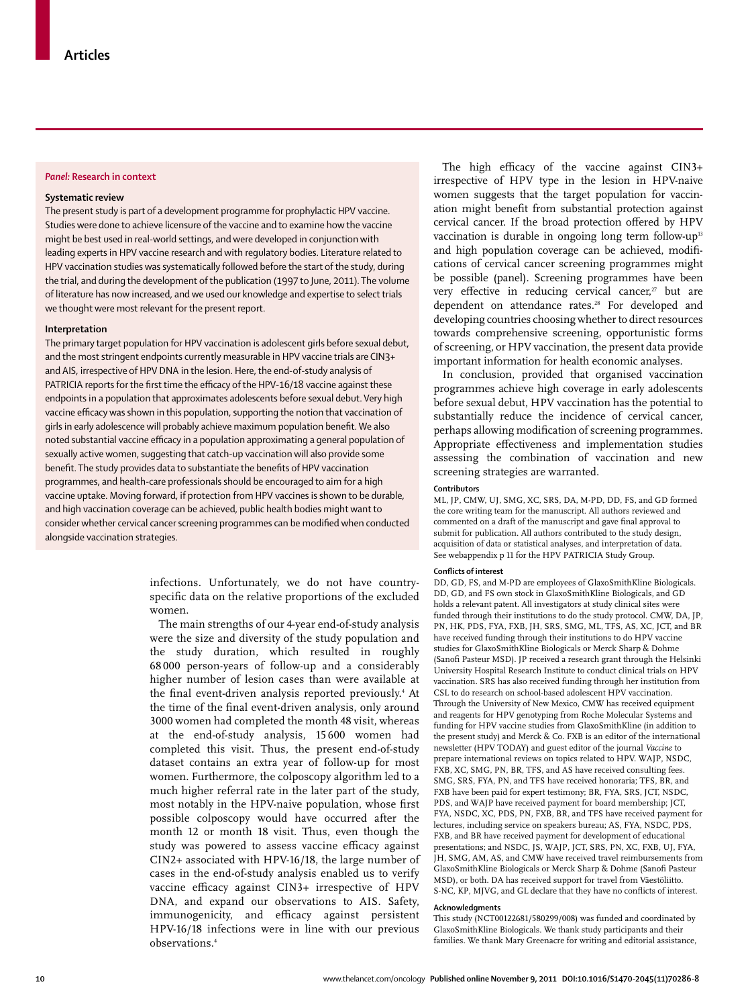# *Panel:* **Research in context**

#### **Systematic review**

The present study is part of a development programme for prophylactic HPV vaccine. Studies were done to achieve licensure of the vaccine and to examine how the vaccine might be best used in real-world settings, and were developed in conjunction with leading experts in HPV vaccine research and with regulatory bodies. Literature related to HPV vaccination studies was systematically followed before the start of the study, during the trial, and during the development of the publication (1997 to June, 2011). The volume of literature has now increased, and we used our knowledge and expertise to select trials we thought were most relevant for the present report.

#### **Interpretation**

The primary target population for HPV vaccination is adolescent girls before sexual debut, and the most stringent endpoints currently measurable in HPV vaccine trials are CIN3+ and AIS, irrespective of HPV DNA in the lesion. Here, the end-of-study analysis of PATRICIA reports for the first time the efficacy of the HPV-16/18 vaccine against these endpoints in a population that approximates adolescents before sexual debut. Very high vaccine efficacy was shown in this population, supporting the notion that vaccination of girls in early adolescence will probably achieve maximum population benefit. We also noted substantial vaccine efficacy in a population approximating a general population of sexually active women, suggesting that catch-up vaccination will also provide some benefit. The study provides data to substantiate the benefits of HPV vaccination programmes, and health-care professionals should be encouraged to aim for a high vaccine uptake. Moving forward, if protection from HPV vaccines is shown to be durable, and high vaccination coverage can be achieved, public health bodies might want to consider whether cervical cancer screening programmes can be modified when conducted alongside vaccination strategies.

> infections. Unfortunately, we do not have countryspecific data on the relative proportions of the excluded women.

The main strengths of our 4-year end-of-study analysis were the size and diversity of the study population and the study duration, which resulted in roughly 68 000 person-years of follow-up and a considerably higher number of lesion cases than were available at the final event-driven analysis reported previously.<sup>4</sup> At the time of the final event-driven analysis, only around 3000 women had completed the month 48 visit, whereas at the end-of-study analysis, 15 600 women had completed this visit. Thus, the present end-of-study dataset contains an extra year of follow-up for most women. Furthermore, the colposcopy algorithm led to a much higher referral rate in the later part of the study, most notably in the HPV-naive population, whose first possible colposcopy would have occurred after the month 12 or month 18 visit. Thus, even though the study was powered to assess vaccine efficacy against CIN2+ associated with HPV-16/18, the large number of cases in the end-of-study analysis enabled us to verify vaccine efficacy against CIN3+ irrespective of HPV DNA, and expand our observations to AIS. Safety, immunogenicity, and efficacy against persistent HPV-16/18 infections were in line with our previous observations.4

The high efficacy of the vaccine against  $CIN3+$ irrespective of HPV type in the lesion in HPV-naive women suggests that the target population for vaccination might benefit from substantial protection against cervical cancer. If the broad protection offered by HPV vaccination is durable in ongoing long term follow-up<sup>13</sup> and high population coverage can be achieved, modifications of cervical cancer screening programmes might be possible (panel). Screening programmes have been very effective in reducing cervical cancer, $27$  but are dependent on attendance rates.<sup>28</sup> For developed and developing countries choosing whether to direct resources to wards comprehensive screening, opportunistic forms of screening, or HPV vaccination, the present data provide important information for health economic analyses.

In conclusion, provided that organised vaccination programmes achieve high coverage in early adolescents before sexual debut, HPV vaccination has the potential to substantially reduce the incidence of cervical cancer, perhaps allowing modification of screening programmes. Appropriate effectiveness and implementation studies assessing the combination of vaccination and new screening strategies are warranted.

#### **Contributors**

ML, JP, CMW, UJ, SMG, XC, SRS, DA, M-PD, DD, FS, and GD formed the core writing team for the manuscript. All authors reviewed and commented on a draft of the manuscript and gave final approval to submit for publication. All authors contributed to the study design, acquisition of data or statistical analyses, and interpretation of data. See webappendix p 11 for the HPV PATRICIA Study Group.

#### **Conflicts of interest**

DD, GD, FS, and M-PD are employees of GlaxoSmithKline Biologicals. DD, GD, and FS own stock in GlaxoSmithKline Biologicals, and GD holds a relevant patent. All investigators at study clinical sites were funded through their institutions to do the study protocol. CMW, DA, JP, PN, HK, PDS, FYA, FXB, JH, SRS, SMG, ML, TFS, AS, XC, JCT, and BR have received funding through their institutions to do HPV vaccine studies for GlaxoSmithKline Biologicals or Merck Sharp & Dohme (Sanofi Pasteur MSD). JP received a research grant through the Helsinki University Hospital Research Institute to conduct clinical trials on HPV vaccination. SRS has also received funding through her institution from CSL to do research on school-based adolescent HPV vaccination. Through the University of New Mexico, CMW has received equipment and reagents for HPV genotyping from Roche Molecular Systems and funding for HPV vaccine studies from GlaxoSmithKline (in addition to the present study) and Merck & Co. FXB is an editor of the international newsletter (HPV TODAY) and guest editor of the journal *Vaccine* to prepare international reviews on topics related to HPV. WAJP, NSDC, FXB, XC, SMG, PN, BR, TFS, and AS have received consulting fees. SMG, SRS, FYA, PN, and TFS have received honoraria; TFS, BR, and FXB have been paid for expert testimony; BR, FYA, SRS, JCT, NSDC, PDS, and WAJP have received payment for board membership; JCT, FYA, NSDC, XC, PDS, PN, FXB, BR, and TFS have received payment for lectures, including service on speakers bureau; AS, FYA, NSDC, PDS, FXB, and BR have received payment for development of educational presentations; and NSDC, JS, WAJP, JCT, SRS, PN, XC, FXB, UJ, FYA, JH, SMG, AM, AS, and CMW have received travel reimbursements from GlaxoSmithKline Biologicals or Merck Sharp & Dohme (Sanofi Pasteur MSD), or both. DA has received support for travel from Väestöliitto. S-NC, KP, MJVG, and GL declare that they have no conflicts of interest.

#### **Acknowledgments**

This study (NCT00122681/580299/008) was funded and coordinated by GlaxoSmithKline Biologicals. We thank study participants and their families. We thank Mary Greenacre for writing and editorial assistance,